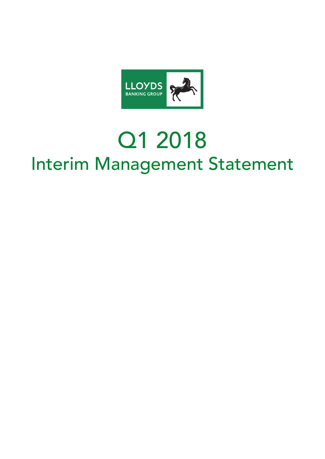

# Q1 2018 Interim Management Statement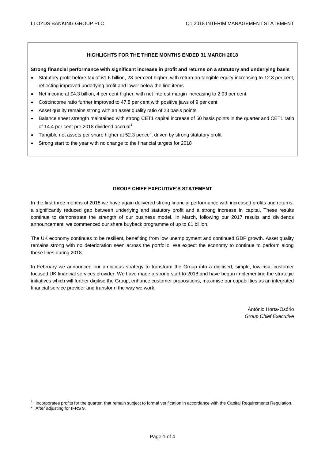## **HIGHLIGHTS FOR THE THREE MONTHS ENDED 31 MARCH 2018**

## **Strong financial performance with significant increase in profit and returns on a statutory and underlying basis**

- Statutory profit before tax of £1.6 billion, 23 per cent higher, with return on tangible equity increasing to 12.3 per cent, reflecting improved underlying profit and lower below the line items
- Net income at £4.3 billion, 4 per cent higher, with net interest margin increasing to 2.93 per cent
- Cost:income ratio further improved to 47.8 per cent with positive jaws of 9 per cent
- Asset quality remains strong with an asset quality ratio of 23 basis points
- Balance sheet strength maintained with strong CET1 capital increase of 50 basis points in the quarter and CET1 ratio of 14.4 per cent pre 2018 dividend accrual<sup>1</sup>
- Tangible net assets per share higher at 52.3 pence<sup>2</sup>, driven by strong statutory profit
- Strong start to the year with no change to the financial targets for 2018

# **GROUP CHIEF EXECUTIVE'S STATEMENT**

In the first three months of 2018 we have again delivered strong financial performance with increased profits and returns, a significantly reduced gap between underlying and statutory profit and a strong increase in capital. These results continue to demonstrate the strength of our business model. In March, following our 2017 results and dividends announcement, we commenced our share buyback programme of up to £1 billion.

The UK economy continues to be resilient, benefiting from low unemployment and continued GDP growth. Asset quality remains strong with no deterioration seen across the portfolio. We expect the economy to continue to perform along these lines during 2018.

In February we announced our ambitious strategy to transform the Group into a digitised, simple, low risk, customer focused UK financial services provider. We have made a strong start to 2018 and have begun implementing the strategic initiatives which will further digitise the Group, enhance customer propositions, maximise our capabilities as an integrated financial service provider and transform the way we work.

> António Horta-Osório *Group Chief Executive*

<sup>1</sup> Incorporates profits for the quarter, that remain subject to formal verification in accordance with the Capital Requirements Regulation.

After adjusting for IFRS 9.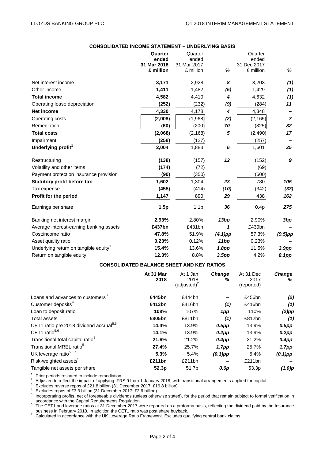|                                                   | Quarter<br>ended<br>31 Mar 2018 | Quarter<br>ended<br>31 Mar 2017 |                   | Quarter<br>ended<br>31 Dec 2017 |                   |
|---------------------------------------------------|---------------------------------|---------------------------------|-------------------|---------------------------------|-------------------|
|                                                   | £ million                       | £ million                       | %                 | £ million                       | %                 |
| Net interest income                               | 3,171                           | 2,928                           | 8                 | 3,203                           | (1)               |
| Other income                                      | 1,411                           | 1,482                           | (5)               | 1,429                           | (1)               |
| <b>Total income</b>                               | 4,582                           | 4,410                           | 4                 | 4,632                           | (1)               |
| Operating lease depreciation                      | (252)                           | (232)                           | (9)               | (284)                           | 11                |
| Net income                                        | 4,330                           | 4,178                           | 4                 | 4,348                           |                   |
| Operating costs                                   | (2,008)                         | (1,968)                         | (2)               | (2, 165)                        | $\overline{7}$    |
| Remediation                                       | (60)                            | (200)                           | 70                | (325)                           | 82                |
| <b>Total costs</b>                                | (2,068)                         | (2, 168)                        | 5                 | (2, 490)                        | 17                |
| Impairment                                        | (258)                           | (127)                           |                   | (257)                           |                   |
| Underlying profit <sup>1</sup>                    | 2,004                           | 1,883                           | 6                 | 1,601                           | 25                |
| Restructuring                                     | (138)                           | (157)                           | 12                | (152)                           | 9                 |
| Volatility and other items                        | (174)                           | (72)                            |                   | (69)                            |                   |
| Payment protection insurance provision            | (90)                            | (350)                           |                   | (600)                           |                   |
| Statutory profit before tax                       | 1,602                           | 1,304                           | 23                | 780                             | 105               |
| Tax expense                                       | (455)                           | (414)                           | (10)              | (342)                           | (33)              |
| Profit for the period                             | 1,147                           | 890                             | 29                | 438                             | 162               |
| Earnings per share                                | 1.5p                            | 1.1 <sub>p</sub>                | 36                | 0.4p                            | 275               |
| Banking net interest margin                       | 2.93%                           | 2.80%                           | 13bp              | 2.90%                           | 3bp               |
| Average interest-earning banking assets           | £437bn                          | £431bn                          | 1                 | £439bn                          |                   |
| Cost:income ratio <sup>1</sup>                    | 47.8%                           | 51.9%                           | $(4.1)$ pp        | 57.3%                           | $(9.5)$ pp        |
| Asset quality ratio                               | 0.23%                           | 0.12%                           | 11bp              | 0.23%                           |                   |
| Underlying return on tangible equity <sup>1</sup> | 15.4%                           | 13.6%                           | 1.8 <sub>pp</sub> | 11.5%                           | 3.9 <sub>pp</sub> |
| Return on tangible equity                         | 12.3%                           | 8.8%                            | 3.5pp             | 4.2%                            | 8.1pp             |

## **CONSOLIDATED INCOME STATEMENT − UNDERLYING BASIS**

| <b>CONSOLIDATED BALANCE SHEET AND KEY RATIOS</b> |  |
|--------------------------------------------------|--|
|                                                  |  |

|                                                     | At 31 Mar<br>2018 | At 1 Jan<br>2018<br>(adjusted) $^2$ | <b>Change</b><br>% | At 31 Dec<br>2017<br>(reported) | Change<br>℅ |
|-----------------------------------------------------|-------------------|-------------------------------------|--------------------|---------------------------------|-------------|
| Loans and advances to customers <sup>3</sup>        | £445bn            | £444bn                              |                    | £456bn                          | (2)         |
| Customer deposits <sup>4</sup>                      | £413bn            | £416bn                              | (1)                | £416bn                          | (1)         |
| Loan to deposit ratio                               | 108%              | 107%                                | 1pp                | 110%                            | $(2)$ pp    |
| <b>Total assets</b>                                 | £805bn            | £811bn                              | (1)                | £812bn                          | (1)         |
| CET1 ratio pre 2018 dividend accrual <sup>5,6</sup> | 14.4%             | 13.9%                               | $0.5$ pp           | 13.9%                           | 0.5pp       |
| CET1 ratio <sup>5,6</sup>                           | 14.1%             | 13.9%                               | $0.2$ pp           | 13.9%                           | 0.2pp       |
| Transitional total capital ratio <sup>5</sup>       | 21.6%             | 21.2%                               | $0.4$ pp           | 21.2%                           | $0.4$ pp    |
| Transitional MREL ratio <sup>5</sup>                | 27.4%             | 25.7%                               | 1.7 <sub>pp</sub>  | 25.7%                           | 1.7pp       |
| UK leverage ratio $5,6,7$                           | 5.3%              | 5.4%                                | $(0.1)$ pp         | 5.4%                            | $(0.1)$ pp  |
| Risk-weighted assets <sup>5</sup>                   | £211bn            | £211bn                              |                    | £211bn                          |             |
| Tangible net assets per share                       | 52.3p             | 51.7p                               | 0.6p               | 53.3p                           | $(1.0)$ p   |

<sup>1</sup> Prior periods restated to include remediation.

 $2$  Adjusted to reflect the impact of applying IFRS 9 from 1 January 2018, with transitional arrangements applied for capital.

 $3$  Excludes reverse repos of £21.8 billion (31 December 2017: £16.8 billion).

 $^4$  Excludes repos of £3.3 billion (31 December 2017: £2.6 billion).

Incorporating profits, net of foreseeable dividends (unless otherwise stated), for the period that remain subject to formal verification in accordance with the Capital Requirements Regulation.

 $6$  The CET1 and leverage ratios at 31 December 2017 were reported on a proforma basis, reflecting the dividend paid by the Insurance business in February 2018. In addition the CET1 ratio was post share buyback.

<sup>7</sup> Calculated in accordance with the UK Leverage Ratio Framework. Excludes qualifying central bank claims.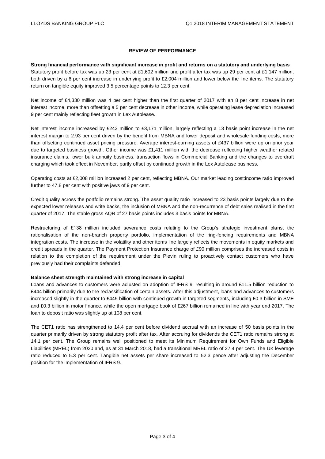## **REVIEW OF PERFORMANCE**

**Strong financial performance with significant increase in profit and returns on a statutory and underlying basis** Statutory profit before tax was up 23 per cent at £1,602 million and profit after tax was up 29 per cent at £1,147 million. both driven by a 6 per cent increase in underlying profit to £2,004 million and lower below the line items. The statutory return on tangible equity improved 3.5 percentage points to 12.3 per cent.

Net income of £4,330 million was 4 per cent higher than the first quarter of 2017 with an 8 per cent increase in net interest income, more than offsetting a 5 per cent decrease in other income, while operating lease depreciation increased 9 per cent mainly reflecting fleet growth in Lex Autolease.

Net interest income increased by £243 million to £3,171 million, largely reflecting a 13 basis point increase in the net interest margin to 2.93 per cent driven by the benefit from MBNA and lower deposit and wholesale funding costs, more than offsetting continued asset pricing pressure. Average interest-earning assets of £437 billion were up on prior year due to targeted business growth. Other income was £1,411 million with the decrease reflecting higher weather related insurance claims, lower bulk annuity business, transaction flows in Commercial Banking and the changes to overdraft charging which took effect in November, partly offset by continued growth in the Lex Autolease business.

Operating costs at £2,008 million increased 2 per cent, reflecting MBNA. Our market leading cost:income ratio improved further to 47.8 per cent with positive jaws of 9 per cent.

Credit quality across the portfolio remains strong. The asset quality ratio increased to 23 basis points largely due to the expected lower releases and write backs, the inclusion of MBNA and the non-recurrence of debt sales realised in the first quarter of 2017. The stable gross AQR of 27 basis points includes 3 basis points for MBNA.

Restructuring of £138 million included severance costs relating to the Group's strategic investment plans, the rationalisation of the non-branch property portfolio, implementation of the ring-fencing requirements and MBNA integration costs. The increase in the volatility and other items line largely reflects the movements in equity markets and credit spreads in the quarter. The Payment Protection Insurance charge of £90 million comprises the increased costs in relation to the completion of the requirement under the Plevin ruling to proactively contact customers who have previously had their complaints defended.

## **Balance sheet strength maintained with strong increase in capital**

Loans and advances to customers were adjusted on adoption of IFRS 9, resulting in around £11.5 billion reduction to £444 billion primarily due to the reclassification of certain assets. After this adjustment, loans and advances to customers increased slightly in the quarter to £445 billion with continued growth in targeted segments, including £0.3 billion in SME and £0.3 billion in motor finance, while the open mortgage book of £267 billion remained in line with year end 2017. The loan to deposit ratio was slightly up at 108 per cent.

The CET1 ratio has strengthened to 14.4 per cent before dividend accrual with an increase of 50 basis points in the quarter primarily driven by strong statutory profit after tax. After accruing for dividends the CET1 ratio remains strong at 14.1 per cent. The Group remains well positioned to meet its Minimum Requirement for Own Funds and Eligible Liabilities (MREL) from 2020 and, as at 31 March 2018, had a transitional MREL ratio of 27.4 per cent. The UK leverage ratio reduced to 5.3 per cent. Tangible net assets per share increased to 52.3 pence after adjusting the December position for the implementation of IFRS 9.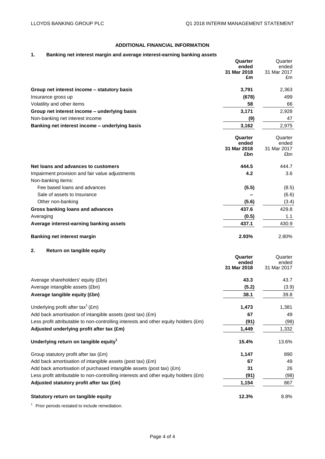# **ADDITIONAL FINANCIAL INFORMATION**

# **1. Banking net interest margin and average interest-earning banking assets**

|                                                                                                                                  | Quarter<br>ended<br>31 Mar 2018<br>£m  | Quarter<br>ended<br>31 Mar 2017<br>£m  |
|----------------------------------------------------------------------------------------------------------------------------------|----------------------------------------|----------------------------------------|
| Group net interest income - statutory basis                                                                                      | 3,791                                  | 2,363                                  |
| Insurance gross up                                                                                                               | (678)                                  | 499                                    |
| Volatility and other items                                                                                                       | 58                                     | 66                                     |
| Group net interest income - underlying basis                                                                                     | 3,171                                  | 2,928                                  |
| Non-banking net interest income                                                                                                  | (9)                                    | 47                                     |
| Banking net interest income - underlying basis                                                                                   | 3,162                                  | 2,975                                  |
|                                                                                                                                  | Quarter<br>ended<br>31 Mar 2018<br>£bn | Quarter<br>ended<br>31 Mar 2017<br>£bn |
| Net loans and advances to customers                                                                                              | 444.5                                  | 444.7                                  |
| Impairment provision and fair value adjustments<br>Non-banking items:                                                            | 4.2                                    | 3.6                                    |
| Fee based loans and advances<br>Sale of assets to Insurance                                                                      | (5.5)                                  | (8.5)<br>(6.6)                         |
| Other non-banking                                                                                                                | (5.6)                                  | (3.4)                                  |
| Gross banking loans and advances                                                                                                 | 437.6                                  | 429.8                                  |
| Averaging                                                                                                                        | (0.5)                                  | 1.1                                    |
| Average interest-earning banking assets                                                                                          | 437.1                                  | 430.9                                  |
| Banking net interest margin                                                                                                      | 2.93%                                  | 2.80%                                  |
| 2.<br>Return on tangible equity                                                                                                  | Quarter<br>ended<br>31 Mar 2018        | Quarter<br>ended<br>31 Mar 2017        |
| Average shareholders' equity (£bn)                                                                                               | 43.3                                   | 43.7                                   |
| Average intangible assets (£bn)                                                                                                  | (5.2)                                  | (3.9)                                  |
| Average tangible equity (£bn)                                                                                                    | 38.1                                   | 39.8                                   |
| Underlying profit after tax <sup>1</sup> (£m)                                                                                    | 1,473                                  | 1,381                                  |
| Add back amortisation of intangible assets (post tax) (£m)                                                                       | 67                                     | 49                                     |
| Less profit attributable to non-controlling interests and other equity holders (£m)<br>Adjusted underlying profit after tax (£m) | (91)<br>1,449                          | (98)<br>1,332                          |
|                                                                                                                                  |                                        |                                        |
| Underlying return on tangible equity <sup>1</sup>                                                                                | 15.4%                                  | 13.6%                                  |
| Group statutory profit after tax (£m)                                                                                            | 1,147                                  | 890                                    |
| Add back amortisation of intangible assets (post tax) (£m)                                                                       | 67                                     | 49                                     |
| Add back amortisation of purchased intangible assets (post tax) (£m)                                                             | 31                                     | 26                                     |
| Less profit attributable to non-controlling interests and other equity holders (£m)                                              | (91)                                   | (98)                                   |
| Adjusted statutory profit after tax (£m)                                                                                         | 1,154                                  | 867                                    |
| Statutory return on tangible equity                                                                                              | 12.3%                                  | 8.8%                                   |

<sup>1</sup> Prior periods restated to include remediation.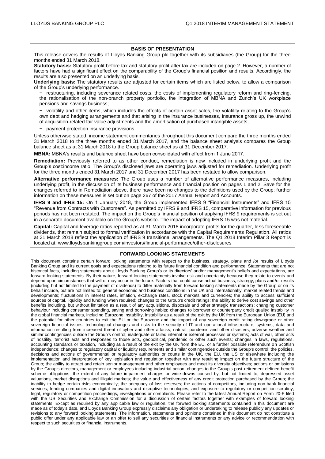#### **BASIS OF PRESENTATION**

This release covers the results of Lloyds Banking Group plc together with its subsidiaries (the Group) for the three months ended 31 March 2018.

**Statutory basis:** Statutory profit before tax and statutory profit after tax are included on page 2. However, a number of factors have had a significant effect on the comparability of the Group's financial position and results. Accordingly, the results are also presented on an underlying basis.

**Underlying basis:** The statutory results are adjusted for certain items which are listed below, to allow a comparison of the Group's underlying performance.

− restructuring, including severance related costs, the costs of implementing regulatory reform and ring-fencing, the rationalisation of the non-branch property portfolio, the integration of MBNA and Zurich's UK workplace pensions and savings business;

− volatility and other items, which includes the effects of certain asset sales, the volatility relating to the Group's own debt and hedging arrangements and that arising in the insurance businesses, insurance gross up, the unwind of acquisition-related fair value adjustments and the amortisation of purchased intangible assets;

payment protection insurance provisions.

Unless otherwise stated, income statement commentaries throughout this document compare the three months ended 31 March 2018 to the three months ended 31 March 2017, and the balance sheet analysis compares the Group balance sheet as at 31 March 2018 to the Group balance sheet as at 31 December 2017.

**MBNA:** MBNA's results and balance sheet have been consolidated with effect from 1 June 2017.

**Remediation:** Previously referred to as other conduct, remediation is now included in underlying profit and the Group's cost:income ratio. The Group's disclosed jaws are operating jaws adjusted for remediation. Underlying profit for the three months ended 31 March 2017 and 31 December 2017 has been restated to allow comparison.

**Alternative performance measures:** The Group uses a number of alternative performance measures, including underlying profit, in the discussion of its business performance and financial position on pages 1 and 2. Save for the changes referred to in Remediation above, there have been no changes to the definitions used by the Group; further information on these measures is set out on page 267 of the 2017 Annual Report and Accounts.

**IFRS 9 and IFRS 15:** On 1 January 2018, the Group implemented IFRS 9 "Financial Instruments" and IFRS 15 "Revenue from Contracts with Customers". As permitted by IFRS 9 and IFRS 15, comparative information for previous periods has not been restated. The impact on the Group's financial position of applying IFRS 9 requirements is set out in a separate document available on the Group's website. The impact of adopting IFRS 15 was not material.

**Capital:** Capital and leverage ratios reported as at 31 March 2018 incorporate profits for the quarter, less foreseeable dividends, that remain subject to formal verification in accordance with the Capital Requirements Regulation. All ratios at 31 March 2018 reflect the application of IFRS 9 transitional arrangements. The Q1 2018 Interim Pillar 3 Report is located at: [www.lloydsbankinggroup.com/investors/financial-performance/other-disclosures](http://www.lloydsbankinggroup.com/investors/financial-performance/other-disclosures)

### **FORWARD LOOKING STATEMENTS**

This document contains certain forward looking statements with respect to the business, strategy, plans and /or results of Lloyds Banking Group and its current goals and expectations relating to its future financial condition and performance. Statements that are not historical facts, including statements about Lloyds Banking Group's or its directors' and/or management's beliefs and expectations, are forward looking statements. By their nature, forward looking statements involve risk and uncertainty because they relate to events and depend upon circumstances that will or may occur in the future. Factors that could cause actual business, strategy, plans and/or results (including but not limited to the payment of dividends) to differ materially from forward looking statements made by the Group or on its behalf include, but are not limited to: general economic and business conditions in the UK and internationally; market related trends and developments; fluctuations in interest rates, inflation, exchange rates, stock markets and currencies; the ability to access sufficient sources of capital, liquidity and funding when required; changes to the Group's credit ratings; the ability to derive cost savings and other benefits including, but without limitation as a result of any acquisitions, disposals and other strategic transactions; changing customer behaviour including consumer spending, saving and borrowing habits; changes to borrower or counterparty credit quality; instability in the global financial markets, including Eurozone instability, instability as a result of the exit by the UK from the European Union (EU) and the potential for other countries to exit the EU or the Eurozone and the impact of any sovereign credit rating downgrade or other sovereign financial issues; technological changes and risks to the security of IT and operational infrastructure, systems, data and information resulting from increased threat of cyber and other attacks; natural, pandemic and other disasters, adverse weather and similar contingencies outside the Group's control; inadequate or failed internal or external processes or systems; acts of war, other acts of hostility, terrorist acts and responses to those acts, geopolitical, pandemic or other such events; changes in laws, regulations, accounting standards or taxation, including as a result of the exit by the UK from the EU, or a further possible referendum on Scottish independence; changes to regulatory capital or liquidity requirements and similar contingencies outside the Group's control; the policies, decisions and actions of governmental or regulatory authorities or courts in the UK, the EU, the US or elsewhere including the implementation and interpretation of key legislation and regulation together with any resulting impact on the future structure of the Group; the ability to attract and retain senior management and other employees and meet its diversity objectives; actions or omissions by the Group's directors, management or employees including industrial action; changes to the Group's post-retirement defined benefit scheme obligations; the extent of any future impairment charges or write-downs caused by, but not limited to, depressed asset valuations, market disruptions and illiquid markets; the value and effectiveness of any credit protection purchased by the Group; the inability to hedge certain risks economically; the adequacy of loss reserves; the actions of competitors, including non-bank financial services, lending companies and digital innovators and disruptive technologies; and exposure to regulatory or competition scrutiny, legal, regulatory or competition proceedings, investigations or complaints. Please refer to the latest Annual Report on Form 20-F filed with the US Securities and Exchange Commission for a discussion of certain factors together with examples of forward looking statements. Except as required by any applicable law or regulation, the forward looking statements contained in this document are made as of today's date, and Lloyds Banking Group expressly disclaims any obligation or undertaking to release publicly any updates or revisions to any forward looking statements. The information, statements and opinions contained in this document do not constitute a public offer under any applicable law or an offer to sell any securities or financial instruments or any advice or recommendation with respect to such securities or financial instruments.